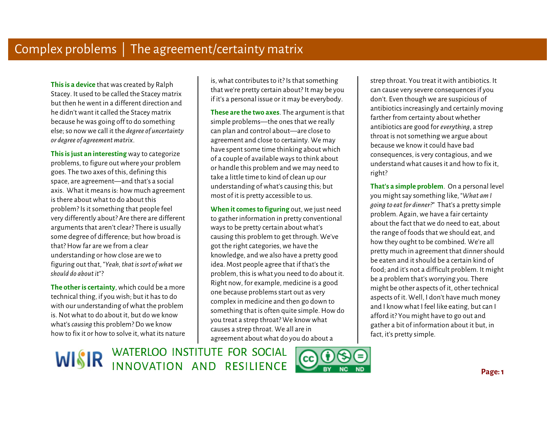**This is a device** that was created by Ralph Stacey. It used to be called the Stacey matrix but then he went in a different direction and he didn't want it called the Stacey matrix because he was going off to do something else; so now we call it the *degree of uncertainty or degree of agreement matrix*.

**This is just an interesting** way to categorize problems, to figure out where your problem goes. The two axes of this, defining this space, are agreement—and that's a social axis. What it means is: how much agreement is there about what to do about this problem? Is it something that people feel very differently about? Are there are different arguments that aren't clear? There is usually some degree of difference; but how broad is that? How far are we from a clear understanding or how close are we to figuring out that, "*Yeah, that is sort of what we should do about it*"?

**The other is certainty**, which could be a more technical thing, if you wish; but it has to do with our understanding of what the problem is. Not what to do about it, but do we know what's *causing* this problem? Do we know how to fix it or how to solve it, what its nature

is, what contributes to it? Is that something that we're pretty certain about? It may be you if it's a personal issue or it may be everybody.

 Ì **These are the two axes**. The argument is that simple problems—the ones that we really can plan and control about—are close to agreement and close to certainty. We may have spent some time thinking about which of a couple of available ways to think about or handle this problem and we may need to take a little time to kind of clean up our understanding of what's causing this; but most of it is pretty accessible to us.

**When it comes to figuring** out, we just need to gather information in pretty conventional ways to be pretty certain about what's causing this problem to get through. We've got the right categories, we have the knowledge, and we also have a pretty good idea. Most people agree that if that's the problem, this is what you need to do about it. Right now, for example, medicine is a good one because problems start out as very complex in medicine and then go down to something that is often quite simple. How do you treat a strep throat? We know what causes a strep throat. We all are in agreement about what do you do about a

 strep throat. You treat it with antibiotics. It can cause very severe consequences if you don't. Even though we are suspicious of antibiotics increasingly and certainly moving farther from certainty about whether antibiotics are good for *everything*, a strep throat is not something we argue about because we know it could have bad consequences, is very contagious, and we understand what causes it and how to fix it, right?

 **That's a simple problem**. On a personal level you might say something like, "*What am I going to eat for dinner?*" That's a pretty simple problem. Again, we have a fair certainty about the fact that we do need to eat, about the range of foods that we should eat, and how they ought to be combined. We're all pretty much in agreement that dinner should be eaten and it should be a certain kind of food; and it's not a difficult problem. It might be a problem that's worrying you. There might be other aspects of it, other technical aspects of it. Well, I don't have much money and I know what I feel like eating, but can I afford it? You might have to go out and gather a bit of information about it but, in fact, it's pretty simple.

WISIR WATERLOO INSTITUTE FOR SOCIAL

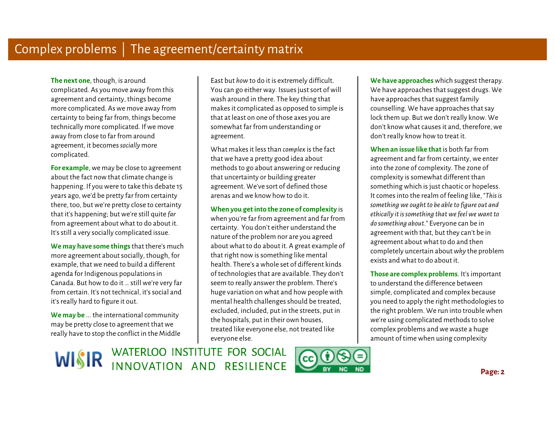**The next one**, though, is around complicated. As you move away from this agreement and certainty, things become more complicated. As we move away from certainty to being far from, things become technically more complicated. If we move away from close to far from around agreement, it becomes *socially* more complicated.

**For example**, we may be close to agreement about the fact now that climate change is happening. If you were to take this debate 15 years ago, we'd be pretty far from certainty there, too, but we're pretty close to certainty that it's happening; but we're still quite *far*  from agreement about what to do about it. It's still a very socially complicated issue.

**We may have some things** that there's much more agreement about socially, though, for example, that we need to build a different agenda for Indigenous populations in Canada. But how to do it … still we're very far from certain. It's not technical, it's social and it's really hard to figure it out.

**We may be** ... the international community may be pretty close to agreement that we really have to stop the conflict in the Middle

 East but *how* to do it is extremely difficult. You can go either way. Issues just sort of will wash around in there. The key thing that makes it complicated as opposed to simple is that at least on one of those axes you are somewhat far from understanding or agreement.

What makes it less than *complex* is the fact that we have a pretty good idea about methods to go about answering or reducing that uncertainty or building greater agreement. We've sort of defined those arenas and we know how to do it.

 **When you get into the zone of complexity** is when you're far from agreement and far from certainty. You don't either understand the nature of the problem nor are you agreed about what to do about it. A great example of that right now is something like mental health. There's a whole set of different kinds of technologies that are available. They don't seem to really answer the problem. There's huge variation on what and how people with mental health challenges should be treated, excluded, included, put in the streets, put in the hospitals, put in their own houses, treated like everyone else, not treated like Eas but how to do it is extremely difficult.<br>
We have approaches that suggest threapy. We also approaches that suggest threapy. We have approaches that suggest drags. We wash around in there. The key thing that<br>
that at le

We have approaches that suggest drugs. We have approaches that suggest family counselling. We have approaches that say lock them up. But we don't really know. We don't know what causes it and, therefore, we don't really know how to treat it.

 $\begin{array}{c} \hline \end{array}$   $\begin{array}{c} \mathbf{1} \end{array}$ **When an issue like that** is both far from agreement and far from certainty, we enter into the zone of complexity. The zone of complexity is somewhat different than something which is just chaotic or hopeless. It comes into the realm of feeling like, "*This is something we ought to be able to figure out and ethically it is something that we feel we want to do something about*." Everyone can be in agreement with that, but they can't be in agreement about what to do and then completely uncertain about *why* the problem exists and what to do about it.

 **Those are complex problems**. It's important to understand the difference between simple, complicated and complex because you need to apply the right methodologies to the right problem. We run into trouble when we're using complicated methods to solve complex problems and we waste a huge amount of time when using complexity

WISIR WATERLOO INSTITUTE FOR SOCIAL